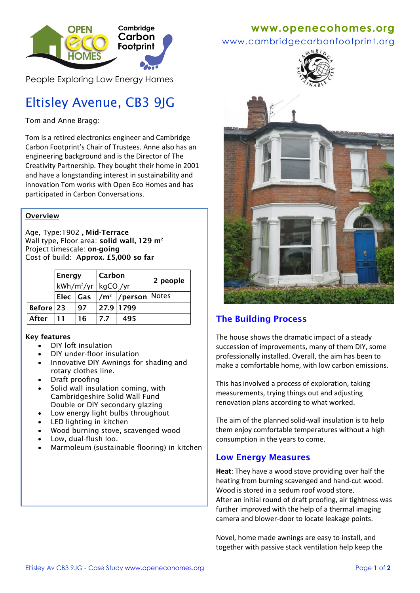

People Exploring Low Energy Homes

# Eltisley Avenue, CB3 9JG

Tom and Anne Bragg:

Tom is a retired electronics engineer and Cambridge Carbon Footprint's Chair of Trustees. Anne also has an engineering background and is the Director of The Creativity Partnership. They bought their home in 2001 and have a longstanding interest in sustainability and innovation Tom works with Open Eco Homes and has participated in Carbon Conversations.

#### **Overview**

Age, Type:1902 **, Mid-Terrace** Wall type, Floor area: **solid wall, 129 m<sup>2</sup>** Project timescale: **on-going** Cost of build: **Approx. £5,000 so far**

|           | Energy                                        |    | Carbon |                                           | 2 people |
|-----------|-----------------------------------------------|----|--------|-------------------------------------------|----------|
|           | kWh/m <sup>2</sup> /yr  kgCO <sub>2</sub> /yr |    |        |                                           |          |
|           |                                               |    |        | Elec  Gas  /m²  /person  <sup>Notes</sup> |          |
| Before 23 |                                               | 97 |        | 27.9 1799                                 |          |
| After     |                                               | 16 | 7.7    | 495                                       |          |

#### **Key features**

- DIY loft insulation
- DIY under-floor insulation
- Innovative DIY Awnings for shading and rotary clothes line.
- Draft proofing
- Solid wall insulation coming, with Cambridgeshire Solid Wall Fund Double or DIY secondary glazing
- Low energy light bulbs throughout
- LED lighting in kitchen
- Wood burning stove, scavenged wood
- Low, dual-flush loo.
- Marmoleum (sustainable flooring) in kitchen

### **www[.openecohomes.org](http://www.openecohomes.org/)**

www.cambridgecarbonfootprint.org



## **The Building Process**

The house shows the dramatic impact of a steady succession of improvements, many of them DIY, some professionally installed. Overall, the aim has been to make a comfortable home, with low carbon emissions.

This has involved a process of exploration, taking measurements, trying things out and adjusting renovation plans according to what worked.

The aim of the planned solid-wall insulation is to help them enjoy comfortable temperatures without a high consumption in the years to come.

#### **Low Energy Measures**

**Heat**: They have a wood stove providing over half the heating from burning scavenged and hand-cut wood. Wood is stored in a sedum roof wood store. After an initial round of draft proofing, air tightness was further improved with the help of a thermal imaging camera and blower-door to locate leakage points.

Novel, home made awnings are easy to install, and together with passive stack ventilation help keep the